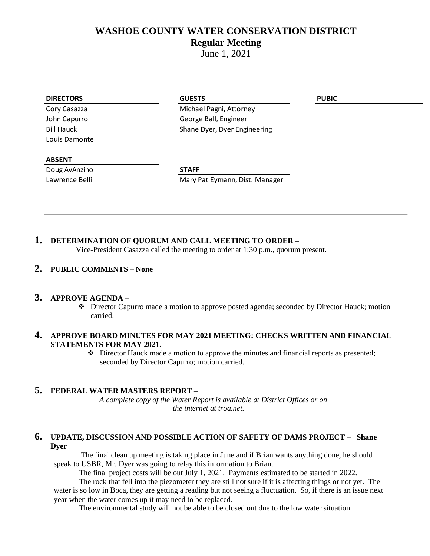# **WASHOE COUNTY WATER CONSERVATION DISTRICT Regular Meeting**

June 1, 2021

# **DIRECTORS GUESTS PUBIC**

Louis Damonte

Cory Casazza **Michael Pagni, Attorney** John Capurro George Ball, Engineer Bill Hauck Shane Dyer, Dyer Engineering

#### **ABSENT**

Doug AvAnzino **STAFF**

Lawrence Belli **Mary Pat Eymann, Dist. Manager** 

# **1. DETERMINATION OF QUORUM AND CALL MEETING TO ORDER –**

Vice-President Casazza called the meeting to order at 1:30 p.m., quorum present.

# **2. PUBLIC COMMENTS – None**

# **3. APPROVE AGENDA –**

❖ Director Capurro made a motion to approve posted agenda; seconded by Director Hauck; motion carried.

# **4. APPROVE BOARD MINUTES FOR MAY 2021 MEETING: CHECKS WRITTEN AND FINANCIAL STATEMENTS FOR MAY 2021.**

❖ Director Hauck made a motion to approve the minutes and financial reports as presented; seconded by Director Capurro; motion carried.

# **5. FEDERAL WATER MASTERS REPORT –**

*A complete copy of the Water Report is available at District Offices or on the internet at troa.net.*

# **6. UPDATE, DISCUSSION AND POSSIBLE ACTION OF SAFETY OF DAMS PROJECT – Shane Dyer**

The final clean up meeting is taking place in June and if Brian wants anything done, he should speak to USBR, Mr. Dyer was going to relay this information to Brian.

The final project costs will be out July 1, 2021. Payments estimated to be started in 2022.

The rock that fell into the piezometer they are still not sure if it is affecting things or not yet. The water is so low in Boca, they are getting a reading but not seeing a fluctuation. So, if there is an issue next year when the water comes up it may need to be replaced.

The environmental study will not be able to be closed out due to the low water situation.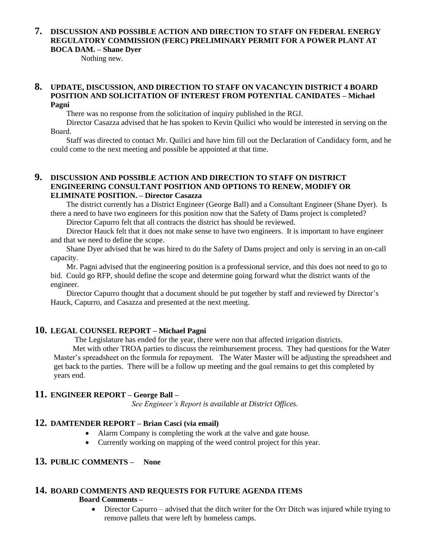# **7. DISCUSSION AND POSSIBLE ACTION AND DIRECTION TO STAFF ON FEDERAL ENERGY REGULATORY COMMISSION (FERC) PRELIMINARY PERMIT FOR A POWER PLANT AT BOCA DAM. – Shane Dyer**

Nothing new.

#### **8. UPDATE, DISCUSSION, AND DIRECTION TO STAFF ON VACANCYIN DISTRICT 4 BOARD POSITION AND SOLICITATION OF INTEREST FROM POTENTIAL CANIDATES – Michael Pagni**

There was no response from the solicitation of inquiry published in the RGJ.

Director Casazza advised that he has spoken to Kevin Quilici who would be interested in serving on the Board.

Staff was directed to contact Mr. Quilici and have him fill out the Declaration of Candidacy form, and he could come to the next meeting and possible be appointed at that time.

# **9. DISCUSSION AND POSSIBLE ACTION AND DIRECTION TO STAFF ON DISTRICT ENGINEERING CONSULTANT POSITION AND OPTIONS TO RENEW, MODIFY OR ELIMINATE POSITION. – Director Casazza**

The district currently has a District Engineer (George Ball) and a Consultant Engineer (Shane Dyer). Is there a need to have two engineers for this position now that the Safety of Dams project is completed?

Director Capurro felt that all contracts the district has should be reviewed.

Director Hauck felt that it does not make sense to have two engineers. It is important to have engineer and that we need to define the scope.

Shane Dyer advised that he was hired to do the Safety of Dams project and only is serving in an on-call capacity.

Mr. Pagni advised that the engineering position is a professional service, and this does not need to go to bid. Could go RFP, should define the scope and determine going forward what the district wants of the engineer.

Director Capurro thought that a document should be put together by staff and reviewed by Director's Hauck, Capurro, and Casazza and presented at the next meeting.

# **10. LEGAL COUNSEL REPORT – Michael Pagni**

The Legislature has ended for the year, there were non that affected irrigation districts.

Met with other TROA parties to discuss the reimbursement process. They had questions for the Water Master's spreadsheet on the formula for repayment. The Water Master will be adjusting the spreadsheet and get back to the parties. There will be a follow up meeting and the goal remains to get this completed by years end.

# **11. ENGINEER REPORT – George Ball –**

*See Engineer's Report is available at District Offices.*

# **12. DAMTENDER REPORT – Brian Casci (via email)**

- Alarm Company is completing the work at the valve and gate house.
- Currently working on mapping of the weed control project for this year.

# **13. PUBLIC COMMENTS – None**

# **14. BOARD COMMENTS AND REQUESTS FOR FUTURE AGENDA ITEMS**

#### **Board Comments –**

• Director Capurro – advised that the ditch writer for the Orr Ditch was injured while trying to remove pallets that were left by homeless camps.